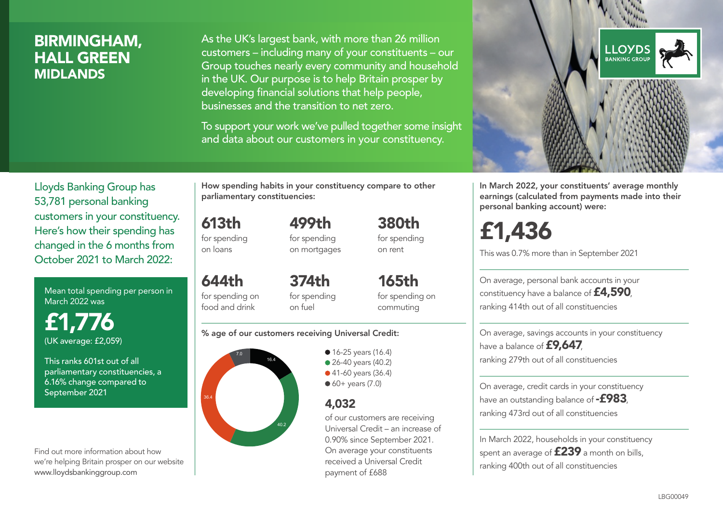# BIRMINGHAM, HALL GREEN MIDLANDS

As the UK's largest bank, with more than 26 million customers – including many of your constituents – our Group touches nearly every community and household in the UK. Our purpose is to help Britain prosper by developing financial solutions that help people, businesses and the transition to net zero.

To support your work we've pulled together some insight and data about our customers in your constituency.



Mean total spending per person in March 2022 was

£1,776 (UK average: £2,059)

This ranks 601st out of all parliamentary constituencies, a 6.16% change compared to September 2021

Find out more information about how we're helping Britain prosper on our website www.lloydsbankinggroup.com

How spending habits in your constituency compare to other parliamentary constituencies:

613th for spending on loans

644th

499th for spending on mortgages 380th for spending on rent

for spending on food and drink 374th for spending on fuel

165th for spending on commuting

#### % age of our customers receiving Universal Credit:



• 16-25 years (16.4) ● 26-40 years (40.2) ● 41-60 years (36.4)  $60+$  years  $(7.0)$ 

## 4,032

of our customers are receiving Universal Credit – an increase of 0.90% since September 2021. On average your constituents received a Universal Credit payment of £688



In March 2022, your constituents' average monthly earnings (calculated from payments made into their personal banking account) were:

# £1,436

This was 0.7% more than in September 2021

On average, personal bank accounts in your constituency have a balance of £4,590, ranking 414th out of all constituencies

On average, savings accounts in your constituency have a balance of **£9,647**, ranking 279th out of all constituencies

On average, credit cards in your constituency have an outstanding balance of  $-$ £983. ranking 473rd out of all constituencies

In March 2022, households in your constituency spent an average of **£239** a month on bills, ranking 400th out of all constituencies